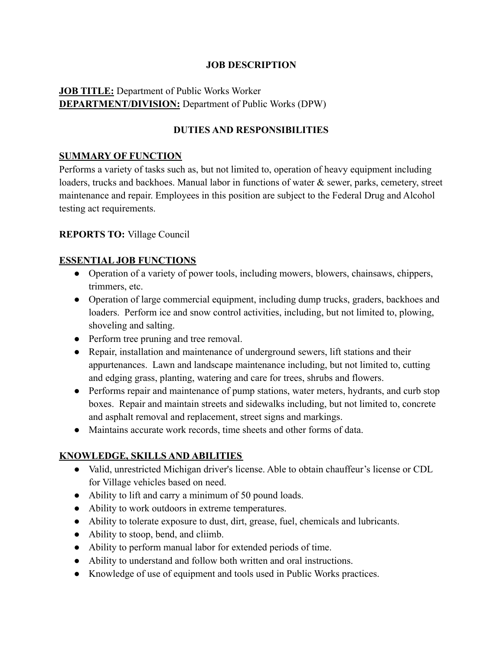### **JOB DESCRIPTION**

# **JOB TITLE:** Department of Public Works Worker **DEPARTMENT/DIVISION:** Department of Public Works (DPW)

## **DUTIES AND RESPONSIBILITIES**

#### **SUMMARY OF FUNCTION**

Performs a variety of tasks such as, but not limited to, operation of heavy equipment including loaders, trucks and backhoes. Manual labor in functions of water & sewer, parks, cemetery, street maintenance and repair. Employees in this position are subject to the Federal Drug and Alcohol testing act requirements.

#### **REPORTS TO:** Village Council

#### **ESSENTIAL JOB FUNCTIONS**

- Operation of a variety of power tools, including mowers, blowers, chainsaws, chippers, trimmers, etc.
- Operation of large commercial equipment, including dump trucks, graders, backhoes and loaders. Perform ice and snow control activities, including, but not limited to, plowing, shoveling and salting.
- Perform tree pruning and tree removal.
- Repair, installation and maintenance of underground sewers, lift stations and their appurtenances. Lawn and landscape maintenance including, but not limited to, cutting and edging grass, planting, watering and care for trees, shrubs and flowers.
- Performs repair and maintenance of pump stations, water meters, hydrants, and curb stop boxes. Repair and maintain streets and sidewalks including, but not limited to, concrete and asphalt removal and replacement, street signs and markings.
- Maintains accurate work records, time sheets and other forms of data.

#### **KNOWLEDGE, SKILLS AND ABILITIES**

- Valid, unrestricted Michigan driver's license. Able to obtain chauffeur's license or CDL for Village vehicles based on need.
- Ability to lift and carry a minimum of 50 pound loads.
- Ability to work outdoors in extreme temperatures.
- Ability to tolerate exposure to dust, dirt, grease, fuel, chemicals and lubricants.
- Ability to stoop, bend, and cliimb.
- Ability to perform manual labor for extended periods of time.
- Ability to understand and follow both written and oral instructions.
- Knowledge of use of equipment and tools used in Public Works practices.